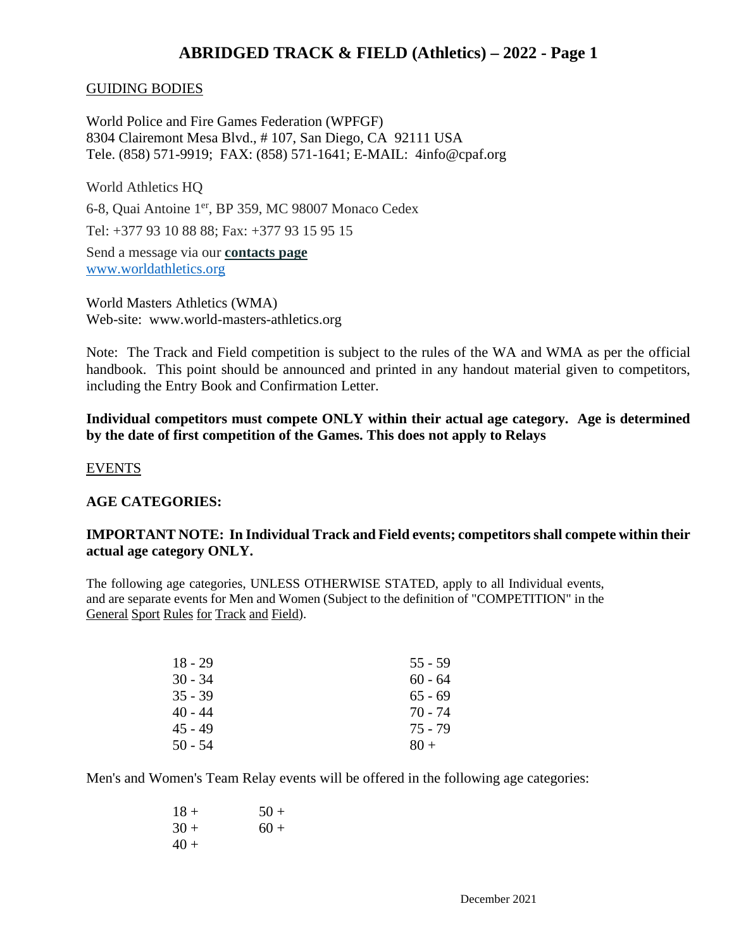### GUIDING BODIES

World Police and Fire Games Federation (WPFGF) 8304 Clairemont Mesa Blvd., # 107, San Diego, CA 92111 USA Tele. (858) 571-9919; FAX: (858) 571-1641; E-MAIL: 4info@cpaf.org

World Athletics HQ

6-8, Quai Antoine 1<sup>er</sup>, BP 359, MC 98007 Monaco Cedex

Tel: +377 93 10 88 88; Fax: +377 93 15 95 15

Send a message via our **[contacts page](http://www.iaaf.org/about-iaaf/contact-us)** [www.worldathletics.org](http://www.worldathletics.org/)

World Masters Athletics (WMA) Web-site: www.world-masters-athletics.org

Note: The Track and Field competition is subject to the rules of the WA and WMA as per the official handbook. This point should be announced and printed in any handout material given to competitors, including the Entry Book and Confirmation Letter.

**Individual competitors must compete ONLY within their actual age category. Age is determined by the date of first competition of the Games. This does not apply to Relays**

### EVENTS

## **AGE CATEGORIES:**

## **IMPORTANT NOTE: In Individual Track and Field events; competitors shall compete within their actual age category ONLY.**

The following age categories, UNLESS OTHERWISE STATED, apply to all Individual events, and are separate events for Men and Women (Subject to the definition of "COMPETITION" in the General Sport Rules for Track and Field).

| $18 - 29$ | $55 - 59$ |
|-----------|-----------|
| $30 - 34$ | $60 - 64$ |
| $35 - 39$ | $65 - 69$ |
| 40 - 44   | 70 - 74   |
| 45 - 49   | 75 - 79   |
| $50 - 54$ | $80 +$    |

Men's and Women's Team Relay events will be offered in the following age categories:

| $18 +$ | $50+$  |
|--------|--------|
| $30 +$ | $60 +$ |
| $40+$  |        |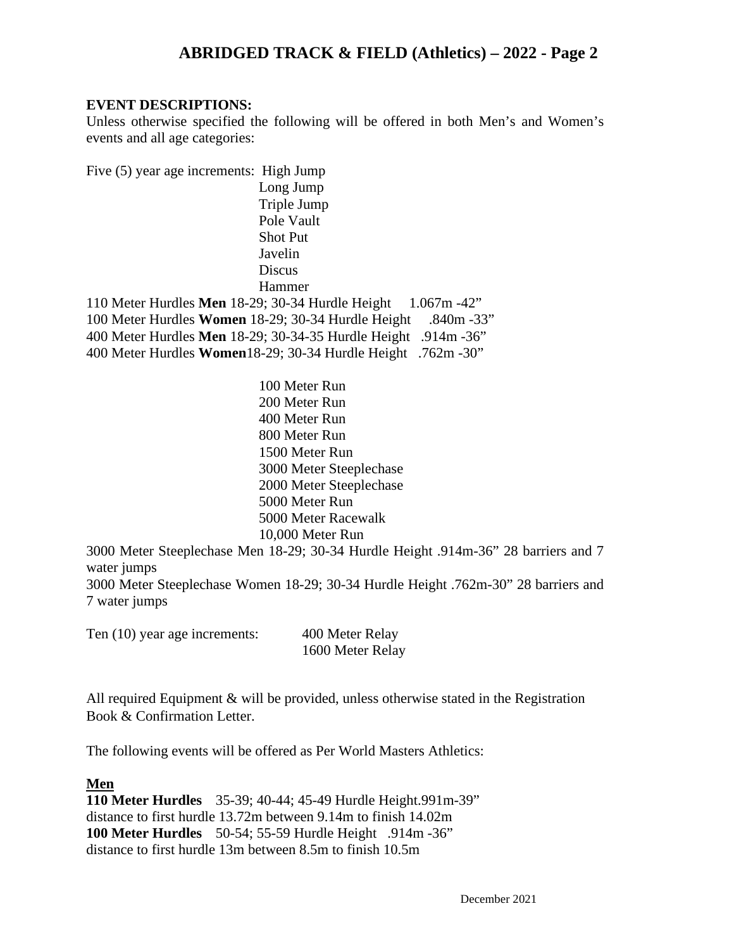### **EVENT DESCRIPTIONS:**

Unless otherwise specified the following will be offered in both Men's and Women's events and all age categories:

Five (5) year age increments: High Jump Long Jump Triple Jump Pole Vault Shot Put Javelin **Discus** Hammer 110 Meter Hurdles **Men** 18-29; 30-34 Hurdle Height 1.067m -42" 100 Meter Hurdles **Women** 18-29; 30-34 Hurdle Height .840m -33" 400 Meter Hurdles **Men** 18-29; 30-34-35 Hurdle Height .914m -36"

400 Meter Hurdles **Women**18-29; 30-34 Hurdle Height .762m -30"

100 Meter Run 200 Meter Run 400 Meter Run 800 Meter Run 1500 Meter Run 3000 Meter Steeplechase 2000 Meter Steeplechase 5000 Meter Run 5000 Meter Racewalk 10,000 Meter Run

3000 Meter Steeplechase Men 18-29; 30-34 Hurdle Height .914m-36" 28 barriers and 7 water jumps

3000 Meter Steeplechase Women 18-29; 30-34 Hurdle Height .762m-30" 28 barriers and 7 water jumps

| Ten (10) year age increments: | 400 Meter Relay  |
|-------------------------------|------------------|
|                               | 1600 Meter Relay |

All required Equipment & will be provided, unless otherwise stated in the Registration Book & Confirmation Letter.

The following events will be offered as Per World Masters Athletics:

#### **Men**

**110 Meter Hurdles** 35-39; 40-44; 45-49 Hurdle Height.991m-39" distance to first hurdle 13.72m between 9.14m to finish 14.02m **100 Meter Hurdles** 50-54; 55-59 Hurdle Height .914m -36" distance to first hurdle 13m between 8.5m to finish 10.5m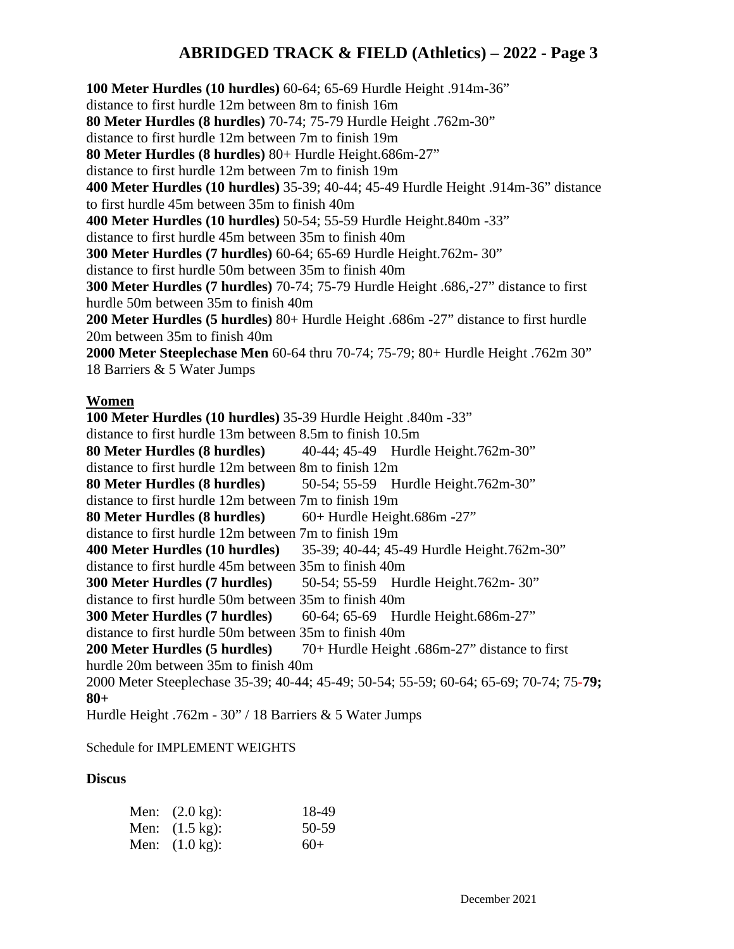**100 Meter Hurdles (10 hurdles)** 60-64; 65-69 Hurdle Height .914m-36" distance to first hurdle 12m between 8m to finish 16m **80 Meter Hurdles (8 hurdles)** 70-74; 75-79 Hurdle Height .762m**-**30" distance to first hurdle 12m between 7m to finish 19m **80 Meter Hurdles (8 hurdles)** 80+ Hurdle Height.686m-27" distance to first hurdle 12m between 7m to finish 19m **400 Meter Hurdles (10 hurdles)** 35-39; 40-44; 45-49 Hurdle Height .914m-36" distance to first hurdle 45m between 35m to finish 40m **400 Meter Hurdles (10 hurdles)** 50-54; 55-59 Hurdle Height.840m -33" distance to first hurdle 45m between 35m to finish 40m **300 Meter Hurdles (7 hurdles)** 60-64; 65-69 Hurdle Height.762m- 30" distance to first hurdle 50m between 35m to finish 40m **300 Meter Hurdles (7 hurdles)** 70-74; 75-79 Hurdle Height .686,-27" distance to first hurdle 50m between 35m to finish 40m **200 Meter Hurdles (5 hurdles)** 80+ Hurdle Height .686m -27" distance to first hurdle 20m between 35m to finish 40m **2000 Meter Steeplechase Men** 60-64 thru 70-74; 75-79; 80+ Hurdle Height .762m 30" 18 Barriers & 5 Water Jumps

#### **Women**

**100 Meter Hurdles (10 hurdles)** 35-39 Hurdle Height .840m -33" distance to first hurdle 13m between 8.5m to finish 10.5m **80 Meter Hurdles (8 hurdles)** 40-44; 45-49Hurdle Height.762m**-**30" distance to first hurdle 12m between 8m to finish 12m **80 Meter Hurdles (8 hurdles)** 50-54; 55-59Hurdle Height.762m**-**30" distance to first hurdle 12m between 7m to finish 19m **80 Meter Hurdles (8 hurdles)** 60+ Hurdle Height.686m **-**27" distance to first hurdle 12m between 7m to finish 19m **400 Meter Hurdles (10 hurdles)** 35-39; 40-44; 45-49 Hurdle Height.762m-30" distance to first hurdle 45m between 35m to finish 40m **300 Meter Hurdles (7 hurdles)** 50-54; 55-59Hurdle Height.762m- 30" distance to first hurdle 50m between 35m to finish 40m **300 Meter Hurdles (7 hurdles)** 60-64; 65-69Hurdle Height.686m-27" distance to first hurdle 50m between 35m to finish 40m **200 Meter Hurdles (5 hurdles)** 70+ Hurdle Height .686m-27" distance to first hurdle 20m between 35m to finish 40m 2000 Meter Steeplechase 35-39; 40-44; 45-49; 50-54; 55-59; 60-64; 65-69; 70-74; 75**-79; 80+**  Hurdle Height .762m - 30" / 18 Barriers & 5 Water Jumps

#### Schedule for IMPLEMENT WEIGHTS

#### **Discus**

| Men: $(2.0 \text{ kg})$ : | 18-49 |
|---------------------------|-------|
| Men: $(1.5 \text{ kg})$ : | 50-59 |
| Men: $(1.0 \text{ kg})$ : | $60+$ |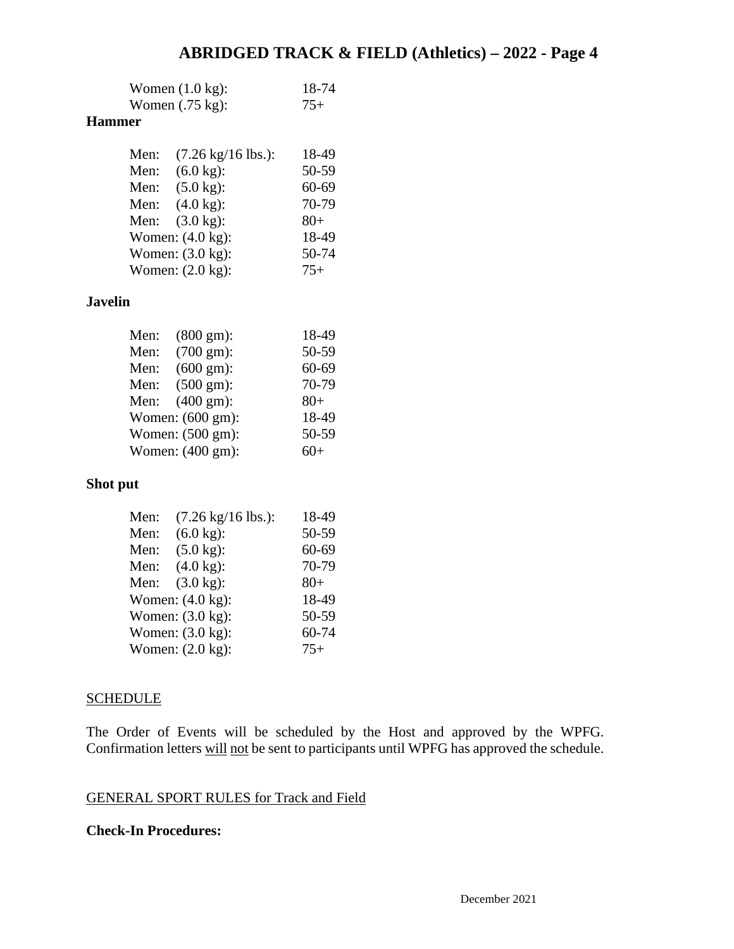| Women $(1.0 \text{ kg})$ : | 18-74 |
|----------------------------|-------|
| Women $(.75 \text{ kg})$ : | $75+$ |

## **Hammer**

| Men: | $(7.26 \text{ kg}/16 \text{ lbs.})$ : | 18-49 |
|------|---------------------------------------|-------|
| Men: | $(6.0 \text{ kg})$ :                  | 50-59 |
| Men: | $(5.0 \text{ kg})$ :                  | 60-69 |
| Men: | $(4.0 \text{ kg})$ :                  | 70-79 |
| Men: | $(3.0 \text{ kg})$ :                  | $80+$ |
|      | Women: $(4.0 \text{ kg})$ :           | 18-49 |
|      | Women: $(3.0 \text{ kg})$ :           | 50-74 |
|      | Women: $(2.0 \text{ kg})$ :           | $75+$ |

### **Javelin**

| Men: | $(800 \text{ gm})$ : | 18-49 |
|------|----------------------|-------|
| Men: | $(700 \text{ gm})$ : | 50-59 |
| Men: | $(600 \text{ gm})$ : | 60-69 |
| Men: | $(500 \text{ gm})$ : | 70-79 |
| Men: | $(400 \text{ gm})$ : | $80+$ |
|      | Women: (600 gm):     | 18-49 |
|      | Women: (500 gm):     | 50-59 |
|      | Women: (400 gm):     | $60+$ |

## **Shot put**

| Men: | $(7.26 \text{ kg}/16 \text{ lbs.})$ : | 18-49 |
|------|---------------------------------------|-------|
| Men: | $(6.0 \text{ kg})$ :                  | 50-59 |
| Men: | $(5.0 \text{ kg})$ :                  | 60-69 |
| Men: | $(4.0 \text{ kg})$ :                  | 70-79 |
| Men: | $(3.0 \text{ kg})$ :                  | $80+$ |
|      | Women: (4.0 kg):                      | 18-49 |
|      | Women: $(3.0 \text{ kg})$ :           | 50-59 |
|      | Women: (3.0 kg):                      | 60-74 |
|      | Women: (2.0 kg):                      | $75+$ |

#### **SCHEDULE**

The Order of Events will be scheduled by the Host and approved by the WPFG. Confirmation letters will not be sent to participants until WPFG has approved the schedule.

## GENERAL SPORT RULES for Track and Field

### **Check-In Procedures:**